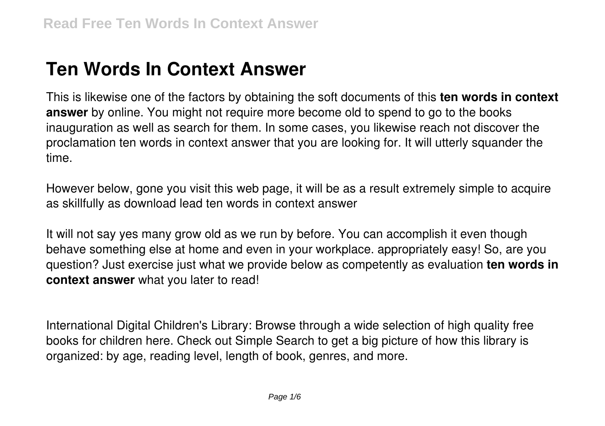# **Ten Words In Context Answer**

This is likewise one of the factors by obtaining the soft documents of this **ten words in context answer** by online. You might not require more become old to spend to go to the books inauguration as well as search for them. In some cases, you likewise reach not discover the proclamation ten words in context answer that you are looking for. It will utterly squander the time.

However below, gone you visit this web page, it will be as a result extremely simple to acquire as skillfully as download lead ten words in context answer

It will not say yes many grow old as we run by before. You can accomplish it even though behave something else at home and even in your workplace. appropriately easy! So, are you question? Just exercise just what we provide below as competently as evaluation **ten words in context answer** what you later to read!

International Digital Children's Library: Browse through a wide selection of high quality free books for children here. Check out Simple Search to get a big picture of how this library is organized: by age, reading level, length of book, genres, and more.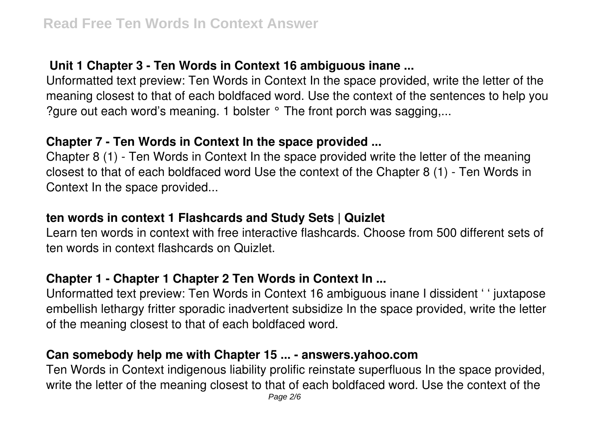# **Unit 1 Chapter 3 - Ten Words in Context 16 ambiguous inane ...**

Unformatted text preview: Ten Words in Context In the space provided, write the letter of the meaning closest to that of each boldfaced word. Use the context of the sentences to help you ?gure out each word's meaning. 1 bolster ° The front porch was sagging,...

### **Chapter 7 - Ten Words in Context In the space provided ...**

Chapter 8 (1) - Ten Words in Context In the space provided write the letter of the meaning closest to that of each boldfaced word Use the context of the Chapter 8 (1) - Ten Words in Context In the space provided...

### **ten words in context 1 Flashcards and Study Sets | Quizlet**

Learn ten words in context with free interactive flashcards. Choose from 500 different sets of ten words in context flashcards on Quizlet.

# **Chapter 1 - Chapter 1 Chapter 2 Ten Words in Context In ...**

Unformatted text preview: Ten Words in Context 16 ambiguous inane I dissident ' ' juxtapose embellish lethargy fritter sporadic inadvertent subsidize In the space provided, write the letter of the meaning closest to that of each boldfaced word.

### **Can somebody help me with Chapter 15 ... - answers.yahoo.com**

Ten Words in Context indigenous liability prolific reinstate superfluous In the space provided, write the letter of the meaning closest to that of each boldfaced word. Use the context of the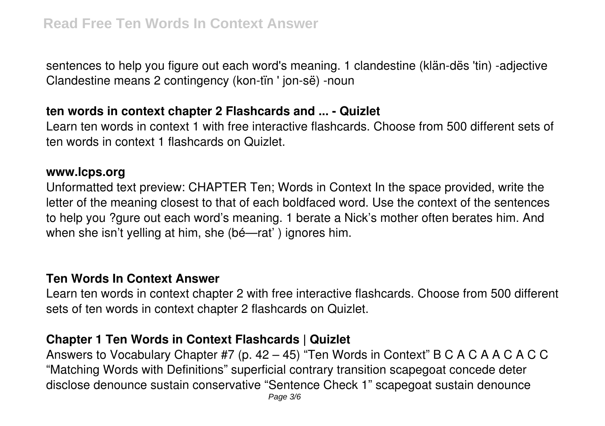sentences to help you figure out each word's meaning. 1 clandestine (klän-dës 'tin) -adjective Clandestine means 2 contingency (kon-tïn ' jon-së) -noun

#### **ten words in context chapter 2 Flashcards and ... - Quizlet**

Learn ten words in context 1 with free interactive flashcards. Choose from 500 different sets of ten words in context 1 flashcards on Quizlet.

#### **www.lcps.org**

Unformatted text preview: CHAPTER Ten; Words in Context In the space provided, write the letter of the meaning closest to that of each boldfaced word. Use the context of the sentences to help you ?gure out each word's meaning. 1 berate a Nick's mother often berates him. And when she isn't yelling at him, she (bé—rat' ) ignores him.

#### **Ten Words In Context Answer**

Learn ten words in context chapter 2 with free interactive flashcards. Choose from 500 different sets of ten words in context chapter 2 flashcards on Quizlet.

### **Chapter 1 Ten Words in Context Flashcards | Quizlet**

Answers to Vocabulary Chapter #7 (p. 42 – 45) "Ten Words in Context" B C A C A A C A C C "Matching Words with Definitions" superficial contrary transition scapegoat concede deter disclose denounce sustain conservative "Sentence Check 1" scapegoat sustain denounce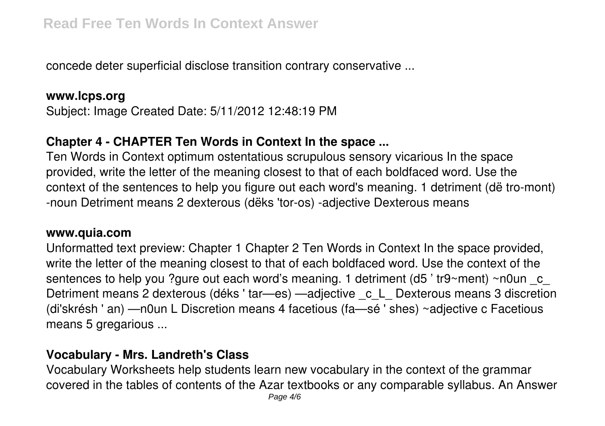concede deter superficial disclose transition contrary conservative ...

### **www.lcps.org**

Subject: Image Created Date: 5/11/2012 12:48:19 PM

# **Chapter 4 - CHAPTER Ten Words in Context In the space ...**

Ten Words in Context optimum ostentatious scrupulous sensory vicarious In the space provided, write the letter of the meaning closest to that of each boldfaced word. Use the context of the sentences to help you figure out each word's meaning. 1 detriment (dë tro-mont) -noun Detriment means 2 dexterous (dëks 'tor-os) -adjective Dexterous means

#### **www.quia.com**

Unformatted text preview: Chapter 1 Chapter 2 Ten Words in Context In the space provided, write the letter of the meaning closest to that of each boldfaced word. Use the context of the sentences to help you ?gure out each word's meaning. 1 detriment (d5 'tr9~ment) ~n0un c Detriment means 2 dexterous (déks 'tar—es) —adjective c L Dexterous means 3 discretion (di'skrésh ' an) —n0un L Discretion means 4 facetious (fa—sé ' shes) ~adjective c Facetious means 5 gregarious ...

# **Vocabulary - Mrs. Landreth's Class**

Vocabulary Worksheets help students learn new vocabulary in the context of the grammar covered in the tables of contents of the Azar textbooks or any comparable syllabus. An Answer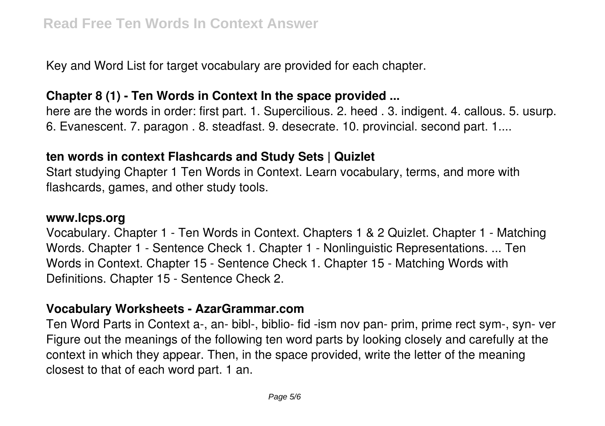Key and Word List for target vocabulary are provided for each chapter.

### **Chapter 8 (1) - Ten Words in Context In the space provided ...**

here are the words in order: first part. 1. Supercilious. 2. heed . 3. indigent. 4. callous. 5. usurp. 6. Evanescent. 7. paragon . 8. steadfast. 9. desecrate. 10. provincial. second part. 1....

### **ten words in context Flashcards and Study Sets | Quizlet**

Start studying Chapter 1 Ten Words in Context. Learn vocabulary, terms, and more with flashcards, games, and other study tools.

#### **www.lcps.org**

Vocabulary. Chapter 1 - Ten Words in Context. Chapters 1 & 2 Quizlet. Chapter 1 - Matching Words. Chapter 1 - Sentence Check 1. Chapter 1 - Nonlinguistic Representations. ... Ten Words in Context. Chapter 15 - Sentence Check 1. Chapter 15 - Matching Words with Definitions. Chapter 15 - Sentence Check 2.

### **Vocabulary Worksheets - AzarGrammar.com**

Ten Word Parts in Context a-, an- bibl-, biblio- fid -ism nov pan- prim, prime rect sym-, syn- ver Figure out the meanings of the following ten word parts by looking closely and carefully at the context in which they appear. Then, in the space provided, write the letter of the meaning closest to that of each word part. 1 an.